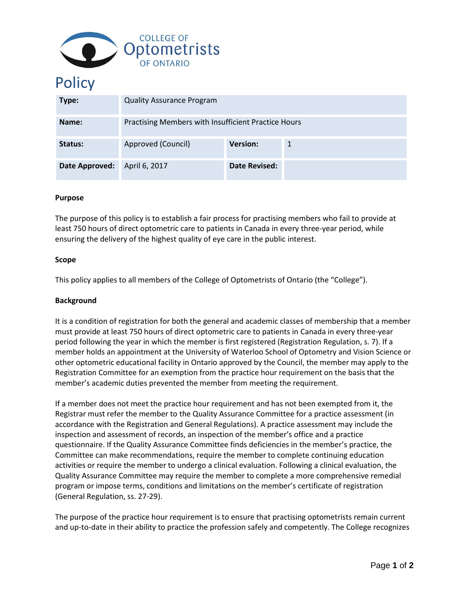

# **Policy**

| Type:          | <b>Quality Assurance Program</b>                    |                 |  |
|----------------|-----------------------------------------------------|-----------------|--|
| Name:          | Practising Members with Insufficient Practice Hours |                 |  |
| Status:        | Approved (Council)                                  | <b>Version:</b> |  |
| Date Approved: | April 6, 2017                                       | Date Revised:   |  |

## **Purpose**

The purpose of this policy is to establish a fair process for practising members who fail to provide at least 750 hours of direct optometric care to patients in Canada in every three-year period, while ensuring the delivery of the highest quality of eye care in the public interest.

## **Scope**

This policy applies to all members of the College of Optometrists of Ontario (the "College").

# **Background**

It is a condition of registration for both the general and academic classes of membership that a member must provide at least 750 hours of direct optometric care to patients in Canada in every three-year period following the year in which the member is first registered (Registration Regulation, s. 7). If a member holds an appointment at the University of Waterloo School of Optometry and Vision Science or other optometric educational facility in Ontario approved by the Council, the member may apply to the Registration Committee for an exemption from the practice hour requirement on the basis that the member's academic duties prevented the member from meeting the requirement.

If a member does not meet the practice hour requirement and has not been exempted from it, the Registrar must refer the member to the Quality Assurance Committee for a practice assessment (in accordance with the Registration and General Regulations). A practice assessment may include the inspection and assessment of records, an inspection of the member's office and a practice questionnaire. If the Quality Assurance Committee finds deficiencies in the member's practice, the Committee can make recommendations, require the member to complete continuing education activities or require the member to undergo a clinical evaluation. Following a clinical evaluation, the Quality Assurance Committee may require the member to complete a more comprehensive remedial program or impose terms, conditions and limitations on the member's certificate of registration (General Regulation, ss. 27-29).

The purpose of the practice hour requirement is to ensure that practising optometrists remain current and up-to-date in their ability to practice the profession safely and competently. The College recognizes